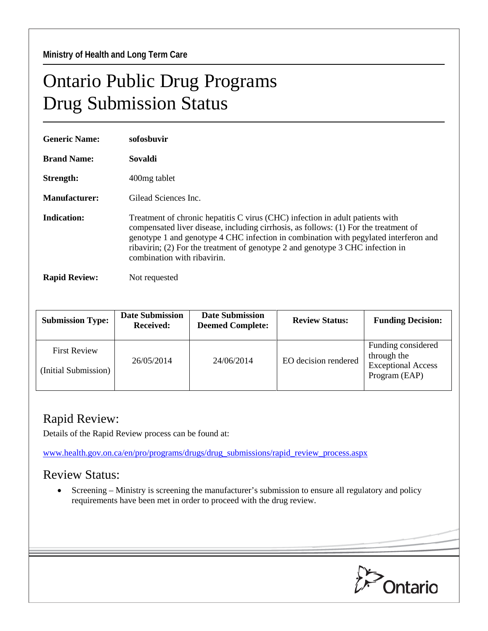## Ontario Public Drug Programs Drug Submission Status

| <b>Generic Name:</b> | sofosbuvir                                                                                                                                                                                                                                                                                                                                                                     |  |
|----------------------|--------------------------------------------------------------------------------------------------------------------------------------------------------------------------------------------------------------------------------------------------------------------------------------------------------------------------------------------------------------------------------|--|
| <b>Brand Name:</b>   | Sovaldi                                                                                                                                                                                                                                                                                                                                                                        |  |
| Strength:            | 400 mg tablet                                                                                                                                                                                                                                                                                                                                                                  |  |
| <b>Manufacturer:</b> | Gilead Sciences Inc.                                                                                                                                                                                                                                                                                                                                                           |  |
| Indication:          | Treatment of chronic hepatitis C virus (CHC) infection in adult patients with<br>compensated liver disease, including cirrhosis, as follows: (1) For the treatment of<br>genotype 1 and genotype 4 CHC infection in combination with pegylated interferon and<br>ribavirin; (2) For the treatment of genotype 2 and genotype 3 CHC infection in<br>combination with ribavirin. |  |
| <b>Rapid Review:</b> | Not requested                                                                                                                                                                                                                                                                                                                                                                  |  |

| <b>Submission Type:</b>                     | <b>Date Submission</b><br><b>Received:</b> | <b>Date Submission</b><br><b>Deemed Complete:</b> | <b>Review Status:</b> | <b>Funding Decision:</b>                                                        |
|---------------------------------------------|--------------------------------------------|---------------------------------------------------|-----------------------|---------------------------------------------------------------------------------|
| <b>First Review</b><br>(Initial Submission) | 26/05/2014                                 | 24/06/2014                                        | EO decision rendered  | Funding considered<br>through the<br><b>Exceptional Access</b><br>Program (EAP) |

## Rapid Review:

Details of the Rapid Review process can be found at:

[www.health.gov.on.ca/en/pro/programs/drugs/drug\\_submissions/rapid\\_review\\_process.aspx](http://www.health.gov.on.ca/en/pro/programs/drugs/drug_submissions/rapid_review_process.aspx)

## Review Status:

• Screening – Ministry is screening the manufacturer's submission to ensure all regulatory and policy requirements have been met in order to proceed with the drug review.